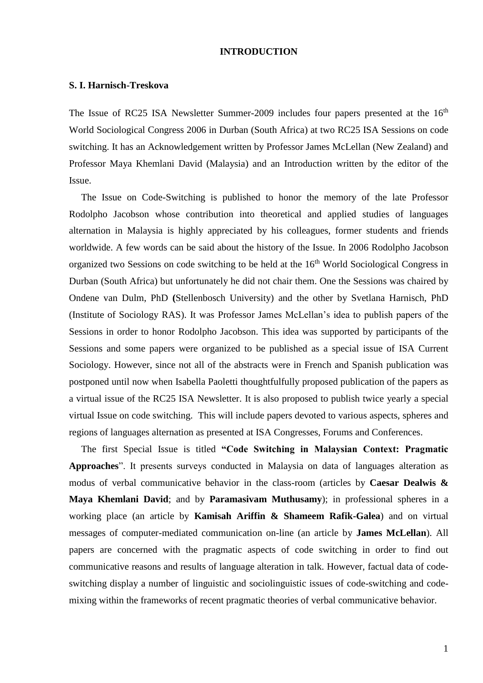## **INTRODUCTION**

## **S. I. Harnisch-Treskova**

The Issue of RC25 ISA Newsletter Summer-2009 includes four papers presented at the 16<sup>th</sup> World Sociological Congress 2006 in Durban (South Africa) at two RC25 ISA Sessions on code switching. It has an Acknowledgement written by Professor James McLellan (New Zealand) and Professor Maya Khemlani David (Malaysia) and an Introduction written by the editor of the Issue.

 The Issue on Code-Switching is published to honor the memory of the late Professor Rodolpho Jacobson whose contribution into theoretical and applied studies of languages alternation in Malaysia is highly appreciated by his colleagues, former students and friends worldwide. A few words can be said about the history of the Issue. In 2006 Rodolpho Jacobson organized two Sessions on code switching to be held at the 16<sup>th</sup> World Sociological Congress in Durban (South Africa) but unfortunately he did not chair them. One the Sessions was chaired by Ondene van Dulm, PhD **(**Stellenbosch University) and the other by Svetlana Harnisch, PhD (Institute of Sociology RAS). It was Professor James McLellan's idea to publish papers of the Sessions in order to honor Rodolpho Jacobson. This idea was supported by participants of the Sessions and some papers were organized to be published as a special issue of ISA Current Sociology. However, since not all of the abstracts were in French and Spanish publication was postponed until now when Isabella Paoletti thoughtfulfully proposed publication of the papers as a virtual issue of the RC25 ISA Newsletter. It is also proposed to publish twice yearly a special virtual Issue on code switching. This will include papers devoted to various aspects, spheres and regions of languages alternation as presented at ISA Congresses, Forums and Conferences.

 The first Special Issue is titled **"Code Switching in Malaysian Context: Pragmatic Approaches**". It presents surveys conducted in Malaysia on data of languages alteration as modus of verbal communicative behavior in the class-room (articles by **Caesar Dealwis & Maya Khemlani David**; and by **Paramasivam Muthusamy**); in professional spheres in a working place (an article by **Kamisah Ariffin & Shameem Rafik-Galea**) and on virtual messages of computer-mediated communication on-line (an article by **James McLellan**). All papers are concerned with the pragmatic aspects of code switching in order to find out communicative reasons and results of language alteration in talk. However, factual data of codeswitching display a number of linguistic and sociolinguistic issues of code-switching and codemixing within the frameworks of recent pragmatic theories of verbal communicative behavior.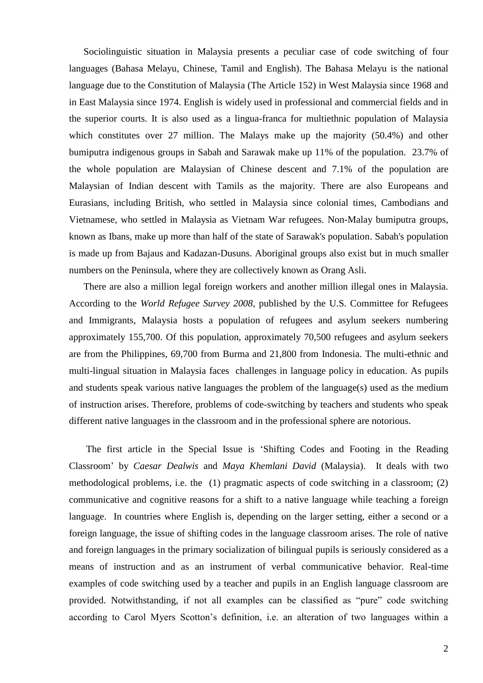Sociolinguistic situation in Malaysia presents a peculiar case of code switching of four languages (Bahasa Melayu, Chinese, Tamil and English). The Bahasa Melayu is the national language due to the Constitution of Malaysia (The Article 152) in West Malaysia since 1968 and in East Malaysia since 1974. English is widely used in professional and commercial fields and in the superior courts. It is also used as a lingua-franca for multiethnic population of Malaysia which constitutes over 27 million. The Malays make up the majority (50.4%) and other bumiputra indigenous groups in Sabah and Sarawak make up 11% of the population. 23.7% of the whole population are Malaysian of Chinese descent and 7.1% of the population are Malaysian of Indian descent with Tamils as the majority. There are also Europeans and Eurasians, including British, who settled in Malaysia since colonial times, Cambodians and Vietnamese, who settled in Malaysia as Vietnam War refugees. Non-Malay bumiputra groups, known as Ibans, make up more than half of the state of Sarawak's population. Sabah's population is made up from Bajaus and Kadazan-Dusuns. Aboriginal groups also exist but in much smaller numbers on the Peninsula, where they are collectively known as Orang Asli.

 There are also a million legal foreign workers and another million illegal ones in Malaysia. According to the *World Refugee Survey 2008*, published by the U.S. Committee for Refugees and Immigrants, Malaysia hosts a population of refugees and asylum seekers numbering approximately 155,700. Of this population, approximately 70,500 refugees and asylum seekers are from the Philippines, 69,700 from Burma and 21,800 from Indonesia. The multi-ethnic and multi-lingual situation in Malaysia faces challenges in language policy in education. As pupils and students speak various native languages the problem of the language(s) used as the medium of instruction arises. Therefore, problems of code-switching by teachers and students who speak different native languages in the classroom and in the professional sphere are notorious.

 The first article in the Special Issue is 'Shifting Codes and Footing in the Reading Classroom' by *Caesar Dealwis* and *Maya Khemlani David* (Malaysia). It deals with two methodological problems, i.e. the (1) pragmatic aspects of code switching in a classroom; (2) communicative and cognitive reasons for a shift to a native language while teaching a foreign language. In countries where English is, depending on the larger setting, either a second or a foreign language, the issue of shifting codes in the language classroom arises. The role of native and foreign languages in the primary socialization of bilingual pupils is seriously considered as a means of instruction and as an instrument of verbal communicative behavior. Real-time examples of code switching used by a teacher and pupils in an English language classroom are provided. Notwithstanding, if not all examples can be classified as "pure" code switching according to Carol Myers Scotton's definition, i.e. an alteration of two languages within a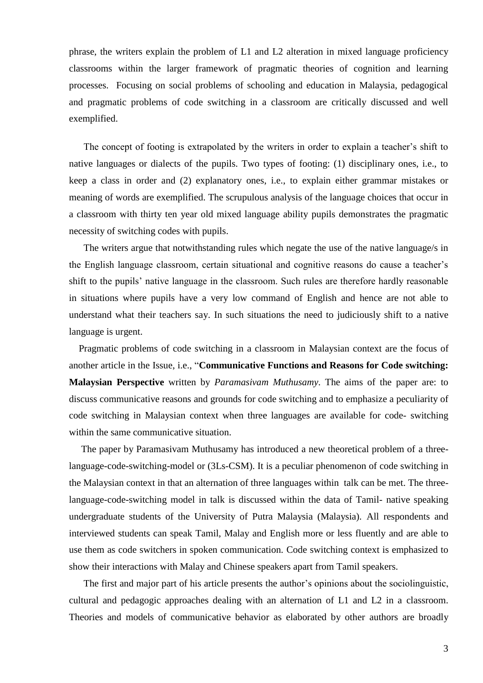phrase, the writers explain the problem of L1 and L2 alteration in mixed language proficiency classrooms within the larger framework of pragmatic theories of cognition and learning processes. Focusing on social problems of schooling and education in Malaysia, pedagogical and pragmatic problems of code switching in a classroom are critically discussed and well exemplified.

 The concept of footing is extrapolated by the writers in order to explain a teacher's shift to native languages or dialects of the pupils. Two types of footing: (1) disciplinary ones, i.e., to keep a class in order and (2) explanatory ones, i.e., to explain either grammar mistakes or meaning of words are exemplified. The scrupulous analysis of the language choices that occur in a classroom with thirty ten year old mixed language ability pupils demonstrates the pragmatic necessity of switching codes with pupils.

 The writers argue that notwithstanding rules which negate the use of the native language/s in the English language classroom, certain situational and cognitive reasons do cause a teacher's shift to the pupils' native language in the classroom. Such rules are therefore hardly reasonable in situations where pupils have a very low command of English and hence are not able to understand what their teachers say. In such situations the need to judiciously shift to a native language is urgent.

 Pragmatic problems of code switching in a classroom in Malaysian context are the focus of another article in the Issue, i.e., "**Communicative Functions and Reasons for Code switching: Malaysian Perspective** written by *Paramasivam Muthusamy*. The aims of the paper are: to discuss communicative reasons and grounds for code switching and to emphasize a peculiarity of code switching in Malaysian context when three languages are available for code- switching within the same communicative situation.

 The paper by Paramasivam Muthusamy has introduced a new theoretical problem of a threelanguage-code-switching-model or (3Ls-CSM). It is a peculiar phenomenon of code switching in the Malaysian context in that an alternation of three languages within talk can be met. The threelanguage-code-switching model in talk is discussed within the data of Tamil- native speaking undergraduate students of the University of Putra Malaysia (Malaysia). All respondents and interviewed students can speak Tamil, Malay and English more or less fluently and are able to use them as code switchers in spoken communication. Code switching context is emphasized to show their interactions with Malay and Chinese speakers apart from Tamil speakers.

 The first and major part of his article presents the author's opinions about the sociolinguistic, cultural and pedagogic approaches dealing with an alternation of L1 and L2 in a classroom. Theories and models of communicative behavior as elaborated by other authors are broadly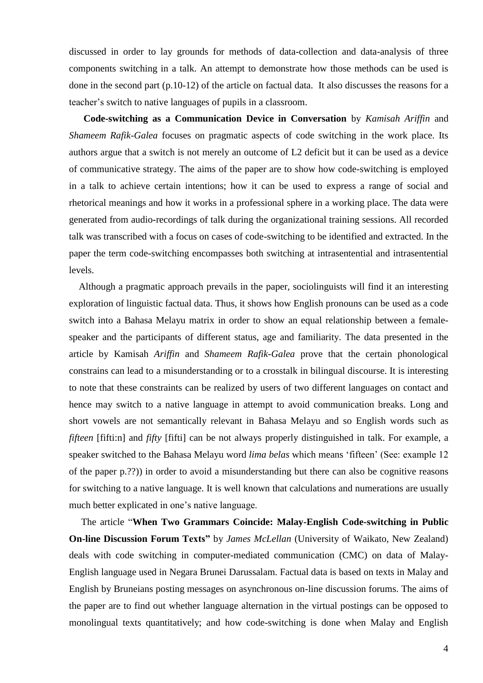discussed in order to lay grounds for methods of data-collection and data-analysis of three components switching in a talk. An attempt to demonstrate how those methods can be used is done in the second part (p.10-12) of the article on factual data. It also discusses the reasons for a teacher's switch to native languages of pupils in a classroom.

 **Code-switching as a Communication Device in Conversation** by *Kamisah Ariffin* and *Shameem Rafik-Galea* focuses on pragmatic aspects of code switching in the work place. Its authors argue that a switch is not merely an outcome of L2 deficit but it can be used as a device of communicative strategy. The aims of the paper are to show how code-switching is employed in a talk to achieve certain intentions; how it can be used to express a range of social and rhetorical meanings and how it works in a professional sphere in a working place. The data were generated from audio-recordings of talk during the organizational training sessions. All recorded talk was transcribed with a focus on cases of code-switching to be identified and extracted. In the paper the term code-switching encompasses both switching at intrasentential and intrasentential levels.

 Although a pragmatic approach prevails in the paper, sociolinguists will find it an interesting exploration of linguistic factual data. Thus, it shows how English pronouns can be used as a code switch into a Bahasa Melayu matrix in order to show an equal relationship between a femalespeaker and the participants of different status, age and familiarity. The data presented in the article by Kamisah *Ariffin* and *Shameem Rafik-Galea* prove that the certain phonological constrains can lead to a misunderstanding or to a crosstalk in bilingual discourse. It is interesting to note that these constraints can be realized by users of two different languages on contact and hence may switch to a native language in attempt to avoid communication breaks. Long and short vowels are not semantically relevant in Bahasa Melayu and so English words such as *fifteen* [fifti:n] and *fifty* [fifti] can be not always properly distinguished in talk. For example, a speaker switched to the Bahasa Melayu word *lima belas* which means 'fifteen' (See: example 12 of the paper p.??)) in order to avoid a misunderstanding but there can also be cognitive reasons for switching to a native language. It is well known that calculations and numerations are usually much better explicated in one's native language.

 The article "**When Two Grammars Coincide: Malay-English Code-switching in Public On-line Discussion Forum Texts"** by *James McLellan* (University of Waikato, New Zealand) deals with code switching in computer-mediated communication (CMC) on data of Malay-English language used in Negara Brunei Darussalam. Factual data is based on texts in Malay and English by Bruneians posting messages on asynchronous on-line discussion forums. The aims of the paper are to find out whether language alternation in the virtual postings can be opposed to monolingual texts quantitatively; and how code-switching is done when Malay and English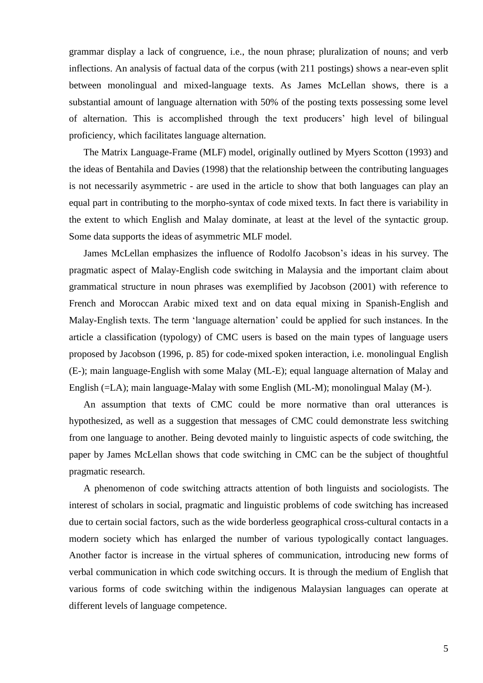grammar display a lack of congruence, i.e., the noun phrase; pluralization of nouns; and verb inflections. An analysis of factual data of the corpus (with 211 postings) shows a near-even split between monolingual and mixed-language texts. As James McLellan shows, there is a substantial amount of language alternation with 50% of the posting texts possessing some level of alternation. This is accomplished through the text producers' high level of bilingual proficiency, which facilitates language alternation.

 The Matrix Language-Frame (MLF) model, originally outlined by Myers Scotton (1993) and the ideas of Bentahila and Davies (1998) that the relationship between the contributing languages is not necessarily asymmetric - are used in the article to show that both languages can play an equal part in contributing to the morpho-syntax of code mixed texts. In fact there is variability in the extent to which English and Malay dominate, at least at the level of the syntactic group. Some data supports the ideas of asymmetric MLF model.

 James McLellan emphasizes the influence of Rodolfo Jacobson's ideas in his survey. The pragmatic aspect of Malay-English code switching in Malaysia and the important claim about grammatical structure in noun phrases was exemplified by Jacobson (2001) with reference to French and Moroccan Arabic mixed text and on data equal mixing in Spanish-English and Malay-English texts. The term 'language alternation' could be applied for such instances. In the article a classification (typology) of CMC users is based on the main types of language users proposed by Jacobson (1996, p. 85) for code-mixed spoken interaction, i.e. monolingual English (E-); main language-English with some Malay (ML-E); equal language alternation of Malay and English (=LA); main language-Malay with some English (ML-M); monolingual Malay (M-).

 An assumption that texts of CMC could be more normative than oral utterances is hypothesized, as well as a suggestion that messages of CMC could demonstrate less switching from one language to another. Being devoted mainly to linguistic aspects of code switching, the paper by James McLellan shows that code switching in CMC can be the subject of thoughtful pragmatic research.

 A phenomenon of code switching attracts attention of both linguists and sociologists. The interest of scholars in social, pragmatic and linguistic problems of code switching has increased due to certain social factors, such as the wide borderless geographical cross-cultural contacts in a modern society which has enlarged the number of various typologically contact languages. Another factor is increase in the virtual spheres of communication, introducing new forms of verbal communication in which code switching occurs. It is through the medium of English that various forms of code switching within the indigenous Malaysian languages can operate at different levels of language competence.